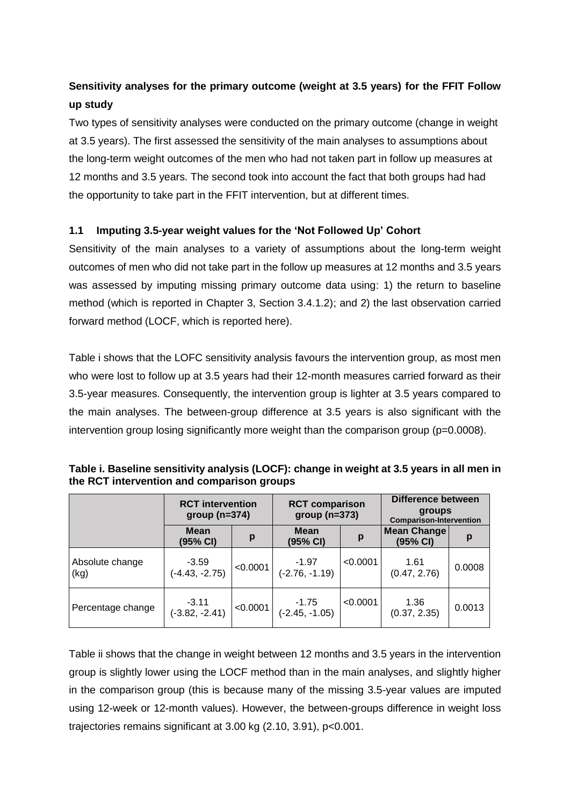## **Sensitivity analyses for the primary outcome (weight at 3.5 years) for the FFIT Follow up study**

Two types of sensitivity analyses were conducted on the primary outcome (change in weight at 3.5 years). The first assessed the sensitivity of the main analyses to assumptions about the long-term weight outcomes of the men who had not taken part in follow up measures at 12 months and 3.5 years. The second took into account the fact that both groups had had the opportunity to take part in the FFIT intervention, but at different times.

## **1.1 Imputing 3.5-year weight values for the 'Not Followed Up' Cohort**

Sensitivity of the main analyses to a variety of assumptions about the long-term weight outcomes of men who did not take part in the follow up measures at 12 months and 3.5 years was assessed by imputing missing primary outcome data using: 1) the return to baseline method (which is reported in Chapter 3, Section 3.4.1.2); and 2) the last observation carried forward method (LOCF, which is reported here).

Table i shows that the LOFC sensitivity analysis favours the intervention group, as most men who were lost to follow up at 3.5 years had their 12-month measures carried forward as their 3.5-year measures. Consequently, the intervention group is lighter at 3.5 years compared to the main analyses. The between-group difference at 3.5 years is also significant with the intervention group losing significantly more weight than the comparison group (p=0.0008).

|                         | <b>RCT</b> intervention<br>$group(n=374)$ |          | <b>RCT comparison</b><br>$group(n=373)$ |          | <b>Difference between</b><br>groups<br><b>Comparison-Intervention</b> |        |  |
|-------------------------|-------------------------------------------|----------|-----------------------------------------|----------|-----------------------------------------------------------------------|--------|--|
|                         | Mean<br>(95% CI)                          | p        | Mean<br>(95% CI)                        | р        | <b>Mean Change</b><br>(95% CI)                                        | p      |  |
| Absolute change<br>(kg) | $-3.59$<br>$(-4.43, -2.75)$               | < 0.0001 | $-1.97$<br>$(-2.76, -1.19)$             | < 0.0001 | 1.61<br>(0.47, 2.76)                                                  | 0.0008 |  |
| Percentage change       | $-3.11$<br>$(-3.82, -2.41)$               | < 0.0001 | $-1.75$<br>$(-2.45, -1.05)$             | < 0.0001 | 1.36<br>(0.37, 2.35)                                                  | 0.0013 |  |

**Table i. Baseline sensitivity analysis (LOCF): change in weight at 3.5 years in all men in the RCT intervention and comparison groups**

Table ii shows that the change in weight between 12 months and 3.5 years in the intervention group is slightly lower using the LOCF method than in the main analyses, and slightly higher in the comparison group (this is because many of the missing 3.5-year values are imputed using 12-week or 12-month values). However, the between-groups difference in weight loss trajectories remains significant at 3.00 kg (2.10, 3.91), p<0.001.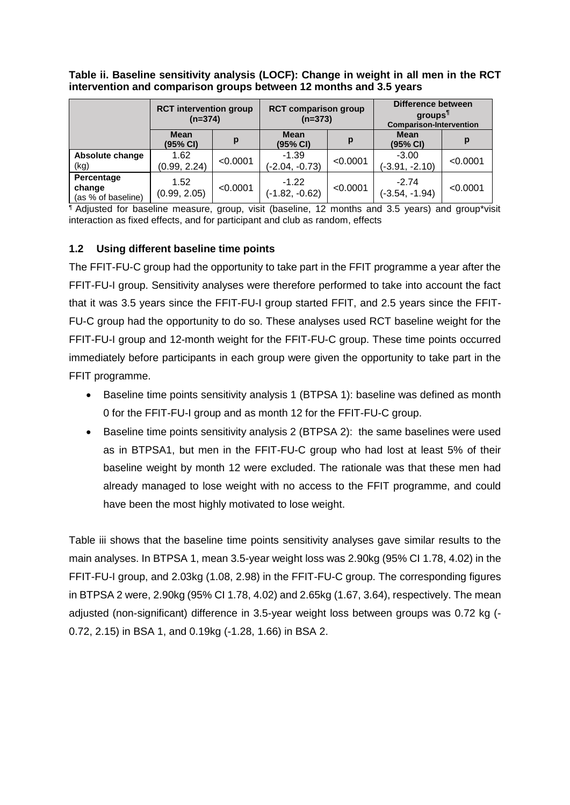**Table ii. Baseline sensitivity analysis (LOCF): Change in weight in all men in the RCT intervention and comparison groups between 12 months and 3.5 years**

|                                            | <b>RCT intervention group</b><br>$(n=374)$ |          | <b>RCT comparison group</b><br>$(n=373)$ |          | Difference between<br>groups <sup>1</sup><br><b>Comparison-Intervention</b> |          |
|--------------------------------------------|--------------------------------------------|----------|------------------------------------------|----------|-----------------------------------------------------------------------------|----------|
|                                            | <b>Mean</b><br>(95% CI)                    | р        | <b>Mean</b><br>(95% CI)                  | р        | <b>Mean</b><br>(95% CI)                                                     | p        |
| Absolute change<br>(kg)                    | 1.62<br>(0.99, 2.24)                       | < 0.0001 | $-1.39$<br>$(-2.04, -0.73)$              | < 0.0001 | $-3.00$<br>$(-3.91, -2.10)$                                                 | < 0.0001 |
| Percentage<br>change<br>(as % of baseline) | 1.52<br>(0.99, 2.05)                       | < 0.0001 | $-1.22$<br>$(-1.82, -0.62)$              | < 0.0001 | $-2.74$<br>$(-3.54, -1.94)$                                                 | < 0.0001 |

¶ Adjusted for baseline measure, group, visit (baseline, 12 months and 3.5 years) and group\*visit interaction as fixed effects, and for participant and club as random, effects

## **1.2 Using different baseline time points**

The FFIT-FU-C group had the opportunity to take part in the FFIT programme a year after the FFIT-FU-I group. Sensitivity analyses were therefore performed to take into account the fact that it was 3.5 years since the FFIT-FU-I group started FFIT, and 2.5 years since the FFIT-FU-C group had the opportunity to do so. These analyses used RCT baseline weight for the FFIT-FU-I group and 12-month weight for the FFIT-FU-C group. These time points occurred immediately before participants in each group were given the opportunity to take part in the FFIT programme.

- Baseline time points sensitivity analysis 1 (BTPSA 1): baseline was defined as month 0 for the FFIT-FU-I group and as month 12 for the FFIT-FU-C group.
- Baseline time points sensitivity analysis 2 (BTPSA 2): the same baselines were used as in BTPSA1, but men in the FFIT-FU-C group who had lost at least 5% of their baseline weight by month 12 were excluded. The rationale was that these men had already managed to lose weight with no access to the FFIT programme, and could have been the most highly motivated to lose weight.

Table iii shows that the baseline time points sensitivity analyses gave similar results to the main analyses. In BTPSA 1, mean 3.5-year weight loss was 2.90kg (95% CI 1.78, 4.02) in the FFIT-FU-I group, and 2.03kg (1.08, 2.98) in the FFIT-FU-C group. The corresponding figures in BTPSA 2 were, 2.90kg (95% CI 1.78, 4.02) and 2.65kg (1.67, 3.64), respectively. The mean adjusted (non-significant) difference in 3.5-year weight loss between groups was 0.72 kg (- 0.72, 2.15) in BSA 1, and 0.19kg (-1.28, 1.66) in BSA 2.